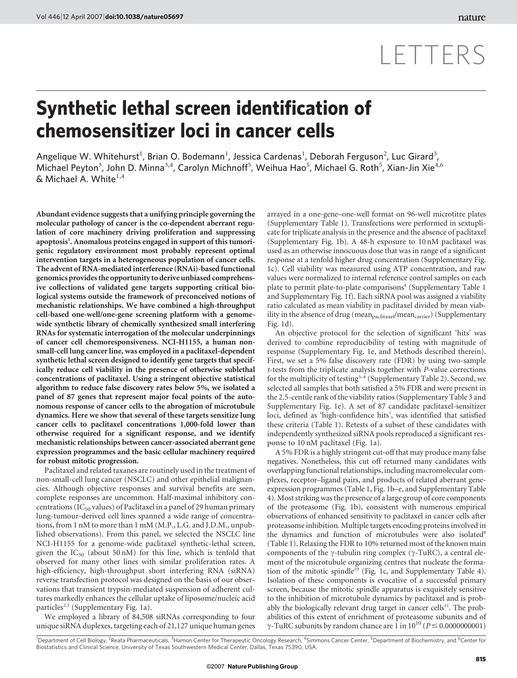# LETTERS

## Synthetic lethal screen identification of chemosensitizer loci in cancer cells

Angelique W. Whitehurst<sup>1</sup>, Brian O. Bodemann<sup>1</sup>, Jessica Cardenas<sup>1</sup>, Deborah Ferguson<sup>2</sup>, Luc Girard<sup>3</sup>, Michael Peyton<sup>3</sup>, John D. Minna<sup>3,4</sup>, Carolyn Michnoff<sup>5</sup>, Weihua Hao<sup>5</sup>, Michael G. Roth<sup>5</sup>, Xian-Jin Xie $^{4,6}$ & Michael A. White $^{1,4}$ 

Abundant evidence suggests that a unifying principle governing the molecular pathology of cancer is the co-dependent aberrant regulation of core machinery driving proliferation and suppressing apoptosis<sup>1</sup>. Anomalous proteins engaged in support of this tumorigenic regulatory environment most probably represent optimal intervention targets in a heterogeneous population of cancer cells. The advent of RNA-mediated interference (RNAi)-based functional genomics provides the opportunity to derive unbiased comprehensive collections of validated gene targets supporting critical biological systems outside the framework of preconceived notions of mechanistic relationships. We have combined a high-throughput cell-based one-well/one-gene screening platform with a genomewide synthetic library of chemically synthesized small interfering RNAs for systematic interrogation of the molecular underpinnings of cancer cell chemoresponsiveness. NCI-H1155, a human nonsmall-cell lung cancer line, was employed in a paclitaxel-dependent synthetic lethal screen designed to identify gene targets that specifically reduce cell viability in the presence of otherwise sublethal concentrations of paclitaxel. Using a stringent objective statistical algorithm to reduce false discovery rates below 5%, we isolated a panel of 87 genes that represent major focal points of the autonomous response of cancer cells to the abrogation of microtubule dynamics. Here we show that several of these targets sensitize lung cancer cells to paclitaxel concentrations 1,000-fold lower than otherwise required for a significant response, and we identify mechanistic relationships between cancer-associated aberrant gene expression programmes and the basic cellular machinery required for robust mitotic progression.

Paclitaxel and related taxanes are routinely used in the treatment of non-small-cell lung cancer (NSCLC) and other epithelial malignancies. Although objective responses and survival benefits are seen, complete responses are uncommon. Half-maximal inhibitory concentrations (IC $_{50}$  values) of Paclitaxel in a panel of 29 human primary lung-tumour-derived cell lines spanned a wide range of concentrations, from 1 nM to more than 1 mM (M.P., L.G. and J.D.M., unpublished observations). From this panel, we selected the NSCLC line NCI-H1155 for a genome-wide paclitaxel synthetic-lethal screen, given the  $IC_{50}$  (about 50 nM) for this line, which is tenfold that observed for many other lines with similar proliferation rates. A high-efficiency, high-throughput short interfering RNA (siRNA) reverse transfection protocol was designed on the basis of our observations that transient trypsin-mediated suspension of adherent cultures markedly enhances the cellular uptake of liposome/nucleic acid particles<sup>2,3</sup> (Supplementary Fig. 1a).

We employed a library of 84,508 siRNAs corresponding to four unique siRNA duplexes, targeting each of 21,127 unique human genes arrayed in a one-gene–one-well format on 96-well microtitre plates (Supplementary Table 1). Transfections were performed in sextuplicate for triplicate analysis in the presence and the absence of paclitaxel (Supplementary Fig. 1b). A 48-h exposure to 10 nM paclitaxel was used as an otherwise innocuous dose that was in range of a significant response at a tenfold higher drug concentration (Supplementary Fig. 1c). Cell viability was measured using ATP concentration, and raw values were normalized to internal reference control samples on each plate to permit plate-to-plate comparisons<sup>4</sup> (Supplementary Table 1 and Supplementary Fig. 1f). Each siRNA pool was assigned a viability ratio calculated as mean viability in paclitaxel divided by mean viability in the absence of drug (mean<sub>paclitaxel</sub>/mean<sub>carrier</sub>) (Supplementary Fig. 1d).

An objective protocol for the selection of significant 'hits' was derived to combine reproducibility of testing with magnitude of response (Supplementary Fig. 1e, and Methods described therein). First, we set a 5% false discovery rate (FDR) by using two-sample t-tests from the triplicate analysis together with P-value corrections for the multiplicity of testing<sup>5–8</sup> (Supplementary Table 2). Second, we selected all samples that both satisfied a 5% FDR and were present in the 2.5-centile rank of the viability ratios (Supplementary Table 3 and Supplementary Fig. 1e). A set of 87 candidate paclitaxel-sensitizer loci, defined as 'high-confidence hits', was identified that satisfied these criteria (Table 1). Retests of a subset of these candidates with independently synthesized siRNA pools reproduced a significant response to 10 nM paclitaxel (Fig. 1a).

A 5% FDR is a highly stringent cut-off that may produce many false negatives. Nonetheless, this cut off returned many candidates with overlapping functional relationships, including macromolecular complexes, receptor–ligand pairs, and products of related aberrant geneexpression programmes (Table 1, Fig. 1b–e, and Supplementary Table 4). Most striking was the presence of a large group of core components of the proteasome (Fig. 1b), consistent with numerous empirical observations of enhanced sensitivity to paclitaxel in cancer cells after proteasome inhibition. Multiple targets encoding proteins involved in the dynamics and function of microtubules were also isolated<sup>9</sup> (Table 1). Relaxing the FDR to 10% returned most of the known main components of the  $\gamma$ -tubulin ring complex ( $\gamma$ -TuRC), a central element of the microtubule organizing centres that nucleate the formation of the mitotic spindle<sup>10</sup> (Fig. 1c, and Supplementary Table 4). Isolation of these components is evocative of a successful primary screen, because the mitotic spindle apparatus is exquisitely sensitive to the inhibition of microtubule dynamics by paclitaxel and is probably the biologically relevant drug target in cancer cells $^{11}$ . The probabilities of this extent of enrichment of proteasome subunits and of  $\gamma$ -TuRC subunits by random chance are 1 in 10<sup>10</sup> ( $P \le 0.0000000001$ )

<sup>1</sup>Department of Cell Biology, <sup>2</sup>Reata Pharmaceuticals, <sup>3</sup>Hamon Center for Therapeutic Oncology Research, <sup>4</sup>Simmons Cancer Center, <sup>5</sup>Department of Biochemistry, and <sup>6</sup>Center for Biostatistics and Clinical Science, University of Texas Southwestern Medical Center, Dallas, Texas 75390, USA.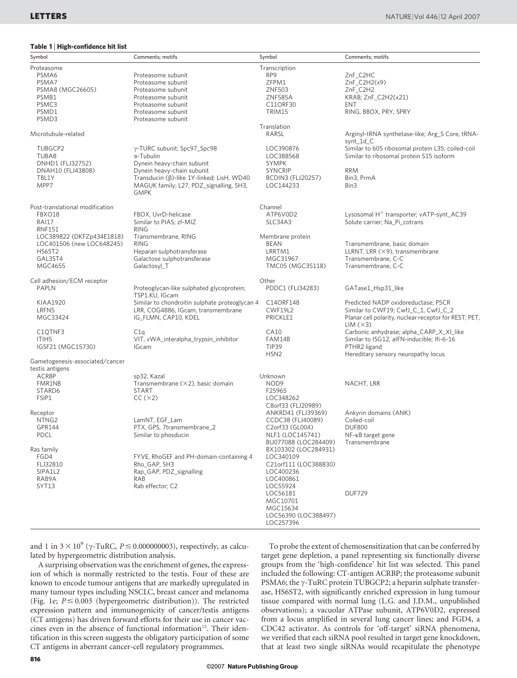Table 1 <sup>|</sup> High-confidence hit list

| Symbol                          | Comments; motifs                                            | Symbol                            | Comments; motifs                                     |
|---------------------------------|-------------------------------------------------------------|-----------------------------------|------------------------------------------------------|
| Proteasome                      |                                                             | Transcription                     |                                                      |
| PSMA6                           | Proteasome subunit                                          | RP <sub>9</sub>                   | ZnF_C2HC                                             |
| PSMA7                           | Proteasome subunit                                          | ZFPM1                             | $ZnF_C2H2(x9)$                                       |
| PSMA8 (MGC26605)                | Proteasome subunit                                          | ZNF503                            | ZnF_C2H2                                             |
| PSMB1                           | Proteasome subunit                                          | <b>ZNF585A</b>                    | KRAB; ZnF C2H2(x21)                                  |
| PSMC3                           | Proteasome subunit                                          | C11ORF30                          | ENT                                                  |
| PSMD1                           | Proteasome subunit                                          | TRIM15                            | RING, BBOX, PRY, SPRY                                |
| PSMD3                           | Proteasome subunit                                          |                                   |                                                      |
| Microtubule-related             |                                                             | Translation<br>RARSL              | Arginyl-tRNA synthetase-like; Arg_S Core, tRNA-      |
|                                 |                                                             |                                   | synt_1d_C                                            |
| TUBGCP2                         | γ-TURC subunit; Spc97_Spc98                                 | LOC390876                         | Similar to 60S ribosomal protein L35; coiled-coil    |
| TUBA8                           | $\alpha$ -Tubulin                                           | LOC388568                         | Similar to ribosomal protein S15 isoform             |
| DNHD1 (FLJ32752)                | Dynein heavy-chain subunit                                  | <b>SYMPK</b>                      |                                                      |
| DNAH10 (FLJ43808)               | Dynein heavy-chain subunit                                  | <b>SYNCRIP</b>                    | <b>RRM</b>                                           |
| TBL1Y                           | Transducin (β)-like 1Y-linked; LisH, WD40                   | <b>BCDIN3 (FLJ20257)</b>          | Bin3, PrmA                                           |
| MPP7                            | MAGUK family; L27, PDZ_signalling, SH3,                     | LOC144233                         | Bin3                                                 |
|                                 | <b>GMPK</b>                                                 |                                   |                                                      |
| Post-translational modification |                                                             | Channel                           |                                                      |
| FBXO18                          | FBOX, UvrD-helicase                                         | ATP6V0D2                          | Lysosomal H <sup>+</sup> transporter; vATP-synt_AC39 |
| <b>RAI17</b>                    | Similar to PIAS; zf-MIZ                                     | SLC34A3                           | Solute carrier; Na_Pi_cotrans                        |
| <b>RNF151</b>                   | <b>RING</b>                                                 |                                   |                                                      |
| LOC389822 (DKFZp434E1818)       | Transmembrane, RING                                         | Membrane protein                  |                                                      |
| LOC401506 (new LOC648245)       | <b>RING</b>                                                 | <b>BEAN</b>                       | Transmembrane, basic domain                          |
| HS6ST2                          | Heparan sulphotransferase                                   | LRRTM1                            | LLRNT, LRR $(\times$ 9), transmembrane               |
| GAL3ST4                         | Galactose sulphotransferase                                 | MGC31967                          | Transmembrane, C-C                                   |
| MGC4655                         | Galactosyl_T                                                | TMC05 (MGC35118)                  | Transmembrane, C-C                                   |
|                                 |                                                             |                                   |                                                      |
| Cell adhesion/ECM receptor      |                                                             | Other                             |                                                      |
| <b>PAPLN</b>                    | Proteoglycan-like sulphated glycoprotein;<br>TSP1.KU, IGcam | PDDC1 (FLJ34283)                  | GATase1_Hsp31_like                                   |
| KIAA1920                        | Similar to chondroitin sulphate proteoglycan 4              | C14ORF148                         | Predicted NADP oxidoreductase; P5CR                  |
| LRFN5                           | LRR, COG4886, IGcam, transmembrane                          | <b>CWF19L2</b>                    | Similar to CWF19; CwfJ_C_1, CwfJ_C_2                 |
| MGC33424                        | IG_FLMN, CAP10, KDEL                                        | PRICKLE1                          | Planar cell polarity, nuclear receptor for REST; PET |
|                                 |                                                             |                                   | LIM (×3)                                             |
| C <sub>1</sub> QTNF3            | C1q                                                         | CA10                              | Carbonic anhydrase; alpha_CARP_X_XI_like             |
| ITIH5                           | VIT, vWA_interalpha_trypsin_inhibitor                       | FAM14B                            | Similar to ISG12, aIFN-inducible; Ifi-6-16           |
| IGSF21 (MGC15730)               | <b>IGcam</b>                                                | <b>TIP39</b>                      | PTHR2 ligand                                         |
|                                 |                                                             | HSN <sub>2</sub>                  | Hereditary sensory neuropathy locus                  |
| Gametogenesis-associated/cancer |                                                             |                                   |                                                      |
| testis antigens                 |                                                             |                                   |                                                      |
| <b>ACRBP</b>                    | sp32, Kazal                                                 | Unknown                           |                                                      |
| FMR1NB                          | Transmembrane $(\times 2)$ , basic domain                   | NOD <sub>9</sub>                  | NACHT, LRR                                           |
| STARD6                          | <b>START</b>                                                | F25965                            |                                                      |
| FSIP1                           | CC(x2)                                                      | LOC348262                         |                                                      |
|                                 |                                                             | C8orf33 (FLJ20989)                |                                                      |
| Receptor                        |                                                             | ANKRD41 (FLJ39369)                | Ankyrin domains (ANK)                                |
| NTNG2                           | LamNT, EGF_Lam                                              | CCDC38 (FLJ40089)                 | Coiled-coil                                          |
| GPR144                          | PTX, GPS, 7transmembrane_2                                  | C2orf33 (GL004)                   | <b>DUF800</b>                                        |
| <b>PDCL</b>                     | Similar to phosducin                                        | NLF1 (LOC145741)                  | $NF$ - $\kappa B$ target gene                        |
|                                 |                                                             | BU077088 (LOC284409)              | Transmembrane                                        |
| Ras family                      |                                                             | BX103302 (LOC284931)              |                                                      |
| FGD4                            | FYVE, RhoGEF and PH-domain-containing 4                     | LOC340109                         |                                                      |
| FLJ32810                        | Rho_GAP, SH3                                                | C21orf111 (LOC388830)             |                                                      |
| SIPA1L2                         | Rap GAP, PDZ signalling                                     | LOC400236                         |                                                      |
| RAB9A                           | RAB                                                         | LOC400861                         |                                                      |
| SYT13                           | Rab effector; C2                                            | LOC55924                          |                                                      |
|                                 |                                                             | LOC56181                          | <b>DUF729</b>                                        |
|                                 |                                                             | MGC10701                          |                                                      |
|                                 |                                                             | MGC15634                          |                                                      |
|                                 |                                                             | LOC56390 (LOC388497)<br>LOC257396 |                                                      |
|                                 |                                                             |                                   |                                                      |

and 1 in  $3 \times 10^9$  ( $\gamma$ -TuRC,  $P \le 0.000000003$ ), respectively, as calculated by hypergeometric distribution analysis.

A surprising observation was the enrichment of genes, the expression of which is normally restricted to the testis. Four of these are known to encode tumour antigens that are markedly upregulated in many tumour types including NSCLC, breast cancer and melanoma (Fig. 1e;  $P \le 0.003$  (hypergeometric distribution)). The restricted expression pattern and immunogenicity of cancer/testis antigens (CT antigens) has driven forward efforts for their use in cancer vaccines even in the absence of functional information $12$ . Their identification in this screen suggests the obligatory participation of some CT antigens in aberrant cancer-cell regulatory programmes.

To probe the extent of chemosensitization that can be conferred by target gene depletion, a panel representing six functionally diverse groups from the 'high-confidence' hit list was selected. This panel included the following: CT-antigen ACRBP; the proteasome subunit PSMA6; the  $\gamma$ -TuRC protein TUBGCP2; a heparin sulphate transferase, HS6ST2, with significantly enriched expression in lung tumour tissue compared with normal lung (L.G. and J.D.M., unpublished observations); a vacuolar ATPase subunit, ATP6V0D2, expressed from a locus amplified in several lung cancer lines; and FGD4, a CDC42 activator. As controls for 'off-target' siRNA phenomena, we verified that each siRNA pool resulted in target gene knockdown, that at least two single siRNAs would recapitulate the phenotype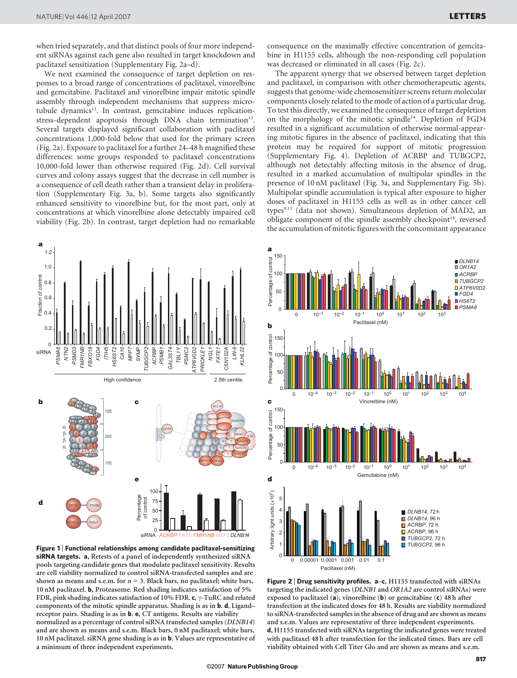when tried separately, and that distinct pools of four more independent siRNAs against each gene also resulted in target knockdown and paclitaxel sensitization (Supplementary Fig. 2a–d).

We next examined the consequence of target depletion on responses to a broad range of concentrations of paclitaxel, vinorelbine and gemcitabine. Paclitaxel and vinorelbine impair mitotic spindle assembly through independent mechanisms that suppress microtubule dynamics<sup>11</sup>. In contrast, gemcitabine induces replicationstress-dependent apoptosis through DNA chain termination<sup>13</sup>. Several targets displayed significant collaboration with paclitaxel concentrations 1,000-fold below that used for the primary screen (Fig. 2a). Exposure to paclitaxel for a further 24–48 h magnified these differences: some groups responded to paclitaxel concentrations 10,000-fold lower than otherwise required (Fig. 2d). Cell survival curves and colony assays suggest that the decrease in cell number is a consequence of cell death rather than a transient delay in proliferation (Supplementary Fig. 3a, b). Some targets also significantly enhanced sensitivity to vinorelbine but, for the most part, only at concentrations at which vinorelbine alone detectably impaired cell viability (Fig. 2b). In contrast, target depletion had no remarkable



Figure 1 <sup>|</sup> Functional relationships among candidate paclitaxel-sensitizing siRNA targets. a, Retests of a panel of independently synthesized siRNA pools targeting candidate genes that modulate paclitaxel sensitivity. Results are cell viability normalized to control siRNA-transfected samples and are shown as means and s.e.m. for  $n = 3$ . Black bars, no paclitaxel; white bars, 10 nM paclitaxel. b, Proteasome. Red shading indicates satisfaction of 5% FDR, pink shading indicates satisfaction of 10% FDR. c,  $\gamma$ -TuRC and related components of the mitotic spindle apparatus. Shading is as in b. d, Ligand– receptor pairs. Shading is as in b. e, CT antigens. Results are viability normalized as a percentage of control siRNA transfected samples (DLNB14) and are shown as means and s.e.m. Black bars, 0 nM paclitaxel; white bars, 10 nM paclitaxel. siRNA gene shading is as in b. Values are representative of a minimum of three independent experiments.

consequence on the maximally effective concentration of gemcitabine in H1155 cells, although the non-responding cell population was decreased or eliminated in all cases (Fig. 2c).

The apparent synergy that we observed between target depletion and paclitaxel, in comparison with other chemotherapeutic agents, suggests that genome-wide chemosensitizer screens return molecular components closely related to the mode of action of a particular drug. To test this directly, we examined the consequence of target depletion on the morphology of the mitotic spindle<sup>14</sup>. Depletion of FGD4 resulted in a significant accumulation of otherwise normal-appearing mitotic figures in the absence of paclitaxel, indicating that this protein may be required for support of mitotic progression (Supplementary Fig. 4). Depletion of ACRBP and TUBGCP2, although not detectably affecting mitosis in the absence of drug, resulted in a marked accumulation of multipolar spindles in the presence of 10 nM paclitaxel (Fig. 3a, and Supplementary Fig. 5b). Multipolar spindle accumulation is typical after exposure to higher doses of paclitaxel in H1155 cells as well as in other cancer cell  $types<sup>9,11</sup>$  (data not shown). Simultaneous depletion of MAD2, an obligate component of the spindle assembly checkpoint<sup>14</sup>, reversed the accumulation of mitotic figures with the concomitant appearance



Figure 2 <sup>|</sup> Drug sensitivity profiles. a–c, H1155 transfected with siRNAs targeting the indicated genes (DLNB1 and OR1A2 are control siRNAs) were exposed to paclitaxel (a), vinorelbine (b) or gemcitabine (c) 48 h after transfection at the indicated doses for 48 h. Results are viability normalized to siRNA-transfected samples in the absence of drug and are shown as means and s.e.m. Values are representative of three independent experiments. d, H1155 transfected with siRNAs targeting the indicated genes were treated with paclitaxel 48 h after transfection for the indicated times. Bars are cell viability obtained with Cell Titer Glo and are shown as means and s.e.m.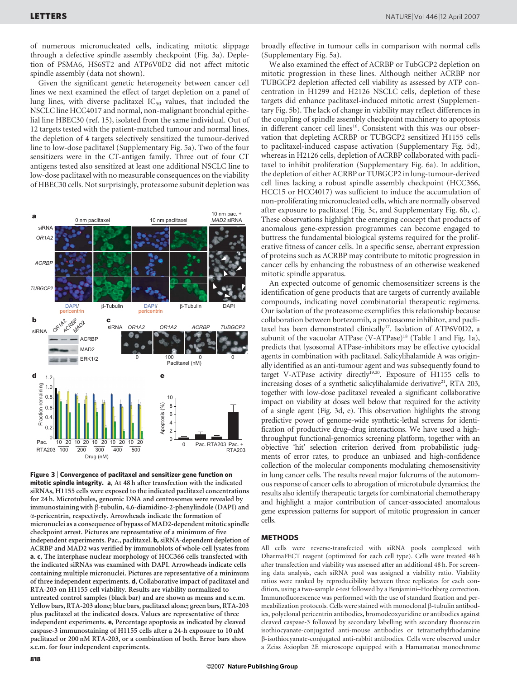of numerous micronucleated cells, indicating mitotic slippage through a defective spindle assembly checkpoint (Fig. 3a). Depletion of PSMA6, HS6ST2 and ATP6V0D2 did not affect mitotic spindle assembly (data not shown).

Given the significant genetic heterogeneity between cancer cell lines we next examined the effect of target depletion on a panel of lung lines, with diverse paclitaxel  $IC_{50}$  values, that included the NSCLC line HCC4017 and normal, non-malignant bronchial epithelial line HBEC30 (ref. 15), isolated from the same individual. Out of 12 targets tested with the patient-matched tumour and normal lines, the depletion of 4 targets selectively sensitized the tumour-derived line to low-dose paclitaxel (Supplementary Fig. 5a). Two of the four sensitizers were in the CT-antigen family. Three out of four CT antigens tested also sensitized at least one additional NSCLC line to low-dose paclitaxel with no measurable consequences on the viability of HBEC30 cells. Not surprisingly, proteasome subunit depletion was



Figure 3 <sup>|</sup> Convergence of paclitaxel and sensitizer gene function on mitotic spindle integrity. a, At 48 h after transfection with the indicated siRNAs, H1155 cells were exposed to the indicated paclitaxel concentrations for 24 h. Microtubules, genomic DNA and centrosomes were revealed by immunostaining with  $\beta$ -tubulin, 4,6-diamidino-2-phenylindole (DAPI) and a-pericentrin, respectively. Arrowheads indicate the formation of micronuclei as a consequence of bypass of MAD2-dependent mitotic spindle checkpoint arrest. Pictures are representative of a minimum of five independent experiments. Pac., paclitaxel. b, siRNA-dependent depletion of ACRBP and MAD2 was verified by immunoblots of whole-cell lysates from a. c, The interphase nuclear morphology of HCC366 cells transfected with the indicated siRNAs was examined with DAPI. Arrowheads indicate cells containing multiple micronuclei. Pictures are representative of a minimum of three independent experiments. d, Collaborative impact of paclitaxel and RTA-203 on H1155 cell viability. Results are viability normalized to untreated control samples (black bar) and are shown as means and s.e.m. Yellow bars, RTA-203 alone; blue bars, paclitaxel alone; green bars, RTA-203 plus paclitaxel at the indicated doses. Values are representative of three independent experiments. e, Percentage apoptosis as indicated by cleaved caspase-3 immunostaining of H1155 cells after a 24-h exposure to 10 nM paclitaxel or 200 nM RTA-203, or a combination of both. Error bars show s.e.m. for four independent experiments.

We also examined the effect of ACRBP or TubGCP2 depletion on mitotic progression in these lines. Although neither ACRBP nor TUBGCP2 depletion affected cell viability as assessed by ATP concentration in H1299 and H2126 NSCLC cells, depletion of these targets did enhance paclitaxel-induced mitotic arrest (Supplementary Fig. 5b). The lack of change in viability may reflect differences in the coupling of spindle assembly checkpoint machinery to apoptosis in different cancer cell lines<sup>16</sup>. Consistent with this was our observation that depleting ACRBP or TUBGCP2 sensitized H1155 cells to paclitaxel-induced caspase activation (Supplementary Fig. 5d), whereas in H2126 cells, depletion of ACRBP collaborated with paclitaxel to inhibit proliferation (Supplementary Fig. 6a). In addition, the depletion of either ACRBP or TUBGCP2 in lung-tumour-derived cell lines lacking a robust spindle assembly checkpoint (HCC366, HCC15 or HCC4017) was sufficient to induce the accumulation of non-proliferating micronucleated cells, which are normally observed after exposure to paclitaxel (Fig. 3c, and Supplementary Fig. 6b, c). These observations highlight the emerging concept that products of anomalous gene-expression programmes can become engaged to buttress the fundamental biological systems required for the proliferative fitness of cancer cells. In a specific sense, aberrant expression of proteins such as ACRBP may contribute to mitotic progression in cancer cells by enhancing the robustness of an otherwise weakened mitotic spindle apparatus.

An expected outcome of genomic chemosensitizer screens is the identification of gene products that are targets of currently available compounds, indicating novel combinatorial therapeutic regimens. Our isolation of the proteasome exemplifies this relationship because collaboration between bortezomib, a proteasome inhibitor, and paclitaxel has been demonstrated clinically<sup>17</sup>. Isolation of ATP6V0D2, a subunit of the vacuolar ATPase (V-ATPase)<sup>18</sup> (Table 1 and Fig. 1a), predicts that lysosomal ATPase-inhibitors may be effective cytocidal agents in combination with paclitaxel. Salicylihalamide A was originally identified as an anti-tumour agent and was subsequently found to target V-ATPase activity directly<sup>19,20</sup>. Exposure of  $H1155$  cells to increasing doses of a synthetic salicylihalamide derivative<sup>21</sup>, RTA 203, together with low-dose paclitaxel revealed a significant collaborative impact on viability at doses well below that required for the activity of a single agent (Fig. 3d, e). This observation highlights the strong predictive power of genome-wide synthetic-lethal screens for identification of productive drug–drug interactions. We have used a highthroughput functional-genomics screening platform, together with an objective 'hit' selection criterion derived from probabilistic judgments of error rates, to produce an unbiased and high-confidence collection of the molecular components modulating chemosensitivity in lung cancer cells. The results reveal major fulcrums of the autonomous response of cancer cells to abrogation of microtubule dynamics; the results also identify therapeutic targets for combinatorial chemotherapy and highlight a major contribution of cancer-associated anomalous gene expression patterns for support of mitotic progression in cancer cells.

#### **METHODS**

All cells were reverse-transfected with siRNA pools complexed with DharmaFECT reagent (optimized for each cell type). Cells were treated 48 h after transfection and viability was assessed after an additional 48 h. For screening data analysis, each siRNA pool was assigned a viability ratio. Viability ratios were ranked by reproducibility between three replicates for each condition, using a two-sample t-test followed by a Benjamini–Hochberg correction. Immunofluorescence was performed with the use of standard fixation and permeabilization protocols. Cells were stained with monoclonal  $\beta$ -tubulin antibodies, polyclonal pericentrin antibodies, bromodeoxyuridine or antibodies against cleaved caspase-3 followed by secondary labelling with secondary fluorescein isothiocyanate-conjugated anti-mouse antibodies or tetramethylrhodamine b-isothiocyanate-conjugated anti-rabbit antibodies. Cells were observed under a Zeiss Axioplan 2E microscope equipped with a Hamamatsu monochrome

818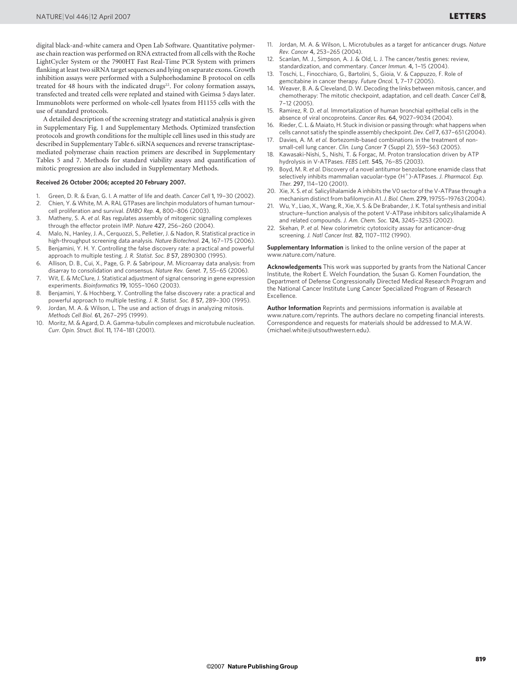digital black-and-white camera and Open Lab Software. Quantitative polymerase chain reaction was performed on RNA extracted from all cells with the Roche LightCycler System or the 7900HT Fast Real-Time PCR System with primers flanking at least two siRNA target sequences and lying on separate exons. Growth inhibition assays were performed with a Sulphorhodamine B protocol on cells treated for 48 hours with the indicated drugs<sup>22</sup>. For colony formation assays, transfected and treated cells were replated and stained with Geimsa 5 days later. Immunoblots were performed on whole-cell lysates from H1155 cells with the use of standard protocols.

A detailed description of the screening strategy and statistical analysis is given in Supplementary Fig. 1 and Supplementary Methods. Optimized transfection protocols and growth conditions for the multiple cell lines used in this study are described in Supplementary Table 6. siRNA sequences and reverse transcriptasemediated polymerase chain reaction primers are described in Supplementary Tables 5 and 7. Methods for standard viability assays and quantification of mitotic progression are also included in Supplementary Methods.

#### Received 26 October 2006; accepted 20 February 2007.

- 1. Green, D. R. & Evan, G. I. A matter of life and death. Cancer Cell 1, 19–30 (2002). 2. Chien, Y. & White, M. A. RAL GTPases are linchpin modulators of human tumour-
- cell proliferation and survival. EMBO Rep. 4, 800–806 (2003). 3. Matheny, S. A. et al. Ras regulates assembly of mitogenic signalling complexes
- through the effector protein IMP. Nature 427, 256–260 (2004). 4. Malo, N., Hanley, J. A., Cerquozzi, S., Pelletier, J. & Nadon, R. Statistical practice in
- high-throughput screening data analysis. Nature Biotechnol. 24, 167–175 (2006).
- 5. Benjamini, Y. H. Y. Controlling the false discovery rate: a practical and powerful approach to multiple testing. J. R. Statist. Soc. B 57, 2890300 (1995).
- 6. Allison, D. B., Cui, X., Page, G. P. & Sabripour, M. Microarray data analysis: from disarray to consolidation and consensus. Nature Rev. Genet. 7, 55–65 (2006).
- 7. Wit, E. & McClure, J. Statistical adjustment of signal censoring in gene expression experiments. Bioinformatics 19, 1055–1060 (2003).
- 8. Benjamini, Y. & Hochberg, Y. Controlling the false discovery rate: a practical and powerful approach to multiple testing. J. R. Statist. Soc. B 57, 289–300 (1995).
- 9. Jordan, M. A. & Wilson, L. The use and action of drugs in analyzing mitosis. Methods Cell Biol. 61, 267–295 (1999).
- 10. Moritz, M. & Agard, D. A. Gamma-tubulin complexes and microtubule nucleation. Curr. Opin. Struct. Biol. 11, 174–181 (2001).
- 11. Jordan, M. A. & Wilson, L. Microtubules as a target for anticancer drugs. Nature Rev. Cancer 4, 253–265 (2004).
- Scanlan, M. J., Simpson, A. J. & Old, L. J. The cancer/testis genes: review, standardization, and commentary. Cancer Immun. 4, 1–15 (2004).
- 13. Toschi, L., Finocchiaro, G., Bartolini, S., Gioia, V. & Cappuzzo, F. Role of gemcitabine in cancer therapy. Future Oncol. 1, 7–17 (2005).
- 14. Weaver, B. A. & Cleveland, D. W. Decoding the links between mitosis, cancer, and chemotherapy: The mitotic checkpoint, adaptation, and cell death. Cancer Cell 8, 7–12 (2005).
- 15. Ramirez, R. D. et al. Immortalization of human bronchial epithelial cells in the absence of viral oncoproteins. Cancer Res. 64, 9027–9034 (2004).
- 16. Rieder, C. L. & Maiato, H. Stuck in division or passing through: what happens when cells cannot satisfy the spindle assembly checkpoint. Dev. Cell 7, 637–651 (2004).
- Davies, A. M. et al. Bortezomib-based combinations in the treatment of nonsmall-cell lung cancer. Clin. Lung Cancer 7 (Suppl 2), S59–S63 (2005).
- 18. Kawasaki-Nishi, S., Nishi, T. & Forgac, M. Proton translocation driven by ATP hydrolysis in V-ATPases. FEBS Lett. 545, 76-85 (2003).
- 19. Boyd, M. R. et al. Discovery of a novel antitumor benzolactone enamide class that selectively inhibits mammalian vacuolar-type  $(H^+)$ -ATPases. J. Pharmacol. Exp. Ther. 297, 114–120 (2001).
- 20. Xie, X. S. et al. Salicylihalamide A inhibits the VO sector of the V-ATPase through a mechanism distinct from bafilomycin A1.J. Biol. Chem. 279,19755–19763 (2004).
- 21. Wu, Y., Liao, X., Wang, R., Xie, X. S. & De Brabander, J. K. Total synthesis and initial structure–function analysis of the potent V-ATPase inhibitors salicylihalamide A and related compounds. J. Am. Chem. Soc. 124, 3245–3253 (2002).
- 22. Skehan, P. et al. New colorimetric cytotoxicity assay for anticancer-drug screening. J. Natl Cancer Inst. 82, 1107–1112 (1990).

Supplementary Information is linked to the online version of the paper at www.nature.com/nature.

Acknowledgements This work was supported by grants from the National Cancer Institute, the Robert E. Welch Foundation, the Susan G. Komen Foundation, the Department of Defense Congressionally Directed Medical Research Program and the National Cancer Institute Lung Cancer Specialized Program of Research Excellence.

Author Information Reprints and permissions information is available at www.nature.com/reprints. The authors declare no competing financial interests. Correspondence and requests for materials should be addressed to M.A.W. (michael.white@utsouthwestern.edu).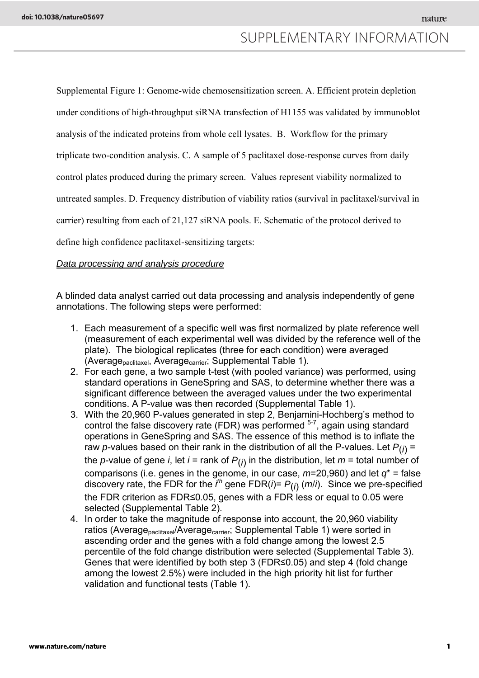### SUPPLEMENTARY INFORMATION

Supplemental Figure 1: Genome-wide chemosensitization screen. A. Efficient protein depletion under conditions of high-throughput siRNA transfection of H1155 was validated by immunoblot analysis of the indicated proteins from whole cell lysates. B. Workflow for the primary triplicate two-condition analysis. C. A sample of 5 paclitaxel dose-response curves from daily control plates produced during the primary screen. Values represent viability normalized to untreated samples. D. Frequency distribution of viability ratios (survival in paclitaxel/survival in carrier) resulting from each of 21,127 siRNA pools. E. Schematic of the protocol derived to define high confidence paclitaxel-sensitizing targets:

#### *Data processing and analysis procedure*

A blinded data analyst carried out data processing and analysis independently of gene annotations. The following steps were performed:

- 1. Each measurement of a specific well was first normalized by plate reference well (measurement of each experimental well was divided by the reference well of the plate). The biological replicates (three for each condition) were averaged (Average<sub>paclitaxel</sub>, Average<sub>carrier</sub>; Supplemental Table 1).
- 2. For each gene, a two sample t-test (with pooled variance) was performed, using standard operations in GeneSpring and SAS, to determine whether there was a significant difference between the averaged values under the two experimental conditions. A P-value was then recorded (Supplemental Table 1).
- 3. With the 20,960 P-values generated in step 2, Benjamini-Hochberg's method to control the false discovery rate (FDR) was performed  $5^{-7}$ , again using standard operations in GeneSpring and SAS. The essence of this method is to inflate the raw *p*-values based on their rank in the distribution of all the P-values. Let  $P(i)$  = the *p*-value of gene *i*, let *i* = rank of  $P(i)$  in the distribution, let  $m =$  total number of comparisons (i.e. genes in the genome, in our case,  $m=20,960$ ) and let  $q^*$  = false discovery rate, the FDR for the *i th* gene FDR(*i*)= *P*(*i*) (*m*/*i*). Since we pre-specified the FDR criterion as FDR≤0.05, genes with a FDR less or equal to 0.05 were selected (Supplemental Table 2).
- 4. In order to take the magnitude of response into account, the 20,960 viability ratios (Average<sub>paclitaxel</sub>/Average<sub>carrier</sub>; Supplemental Table 1) were sorted in ascending order and the genes with a fold change among the lowest 2.5 percentile of the fold change distribution were selected (Supplemental Table 3). Genes that were identified by both step 3 (FDR≤0.05) and step 4 (fold change among the lowest 2.5%) were included in the high priority hit list for further validation and functional tests (Table 1).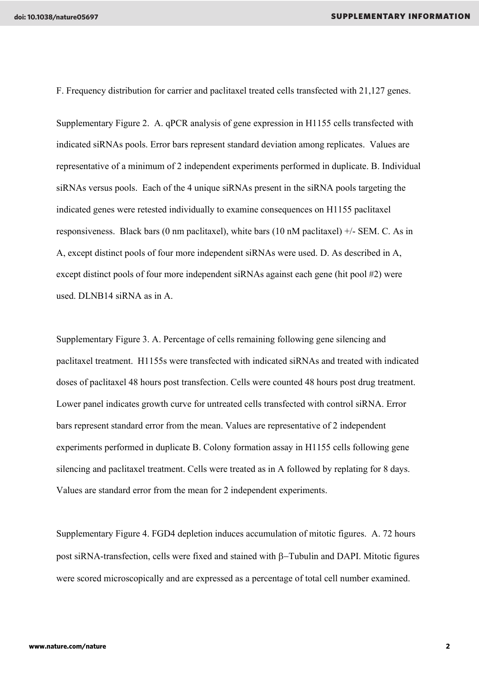F. Frequency distribution for carrier and paclitaxel treated cells transfected with 21,127 genes.

Supplementary Figure 2. A. qPCR analysis of gene expression in H1155 cells transfected with indicated siRNAs pools. Error bars represent standard deviation among replicates. Values are representative of a minimum of 2 independent experiments performed in duplicate. B. Individual siRNAs versus pools. Each of the 4 unique siRNAs present in the siRNA pools targeting the indicated genes were retested individually to examine consequences on H1155 paclitaxel responsiveness. Black bars (0 nm paclitaxel), white bars (10 nM paclitaxel)  $+/-$  SEM. C. As in A, except distinct pools of four more independent siRNAs were used. D. As described in A, except distinct pools of four more independent siRNAs against each gene (hit pool #2) were used. DLNB14 siRNA as in A.

Supplementary Figure 3. A. Percentage of cells remaining following gene silencing and paclitaxel treatment. H1155s were transfected with indicated siRNAs and treated with indicated doses of paclitaxel 48 hours post transfection. Cells were counted 48 hours post drug treatment. Lower panel indicates growth curve for untreated cells transfected with control siRNA. Error bars represent standard error from the mean. Values are representative of 2 independent experiments performed in duplicate B. Colony formation assay in H1155 cells following gene silencing and paclitaxel treatment. Cells were treated as in A followed by replating for 8 days. Values are standard error from the mean for 2 independent experiments.

Supplementary Figure 4. FGD4 depletion induces accumulation of mitotic figures. A. 72 hours post siRNA-transfection, cells were fixed and stained with β−Tubulin and DAPI. Mitotic figures were scored microscopically and are expressed as a percentage of total cell number examined.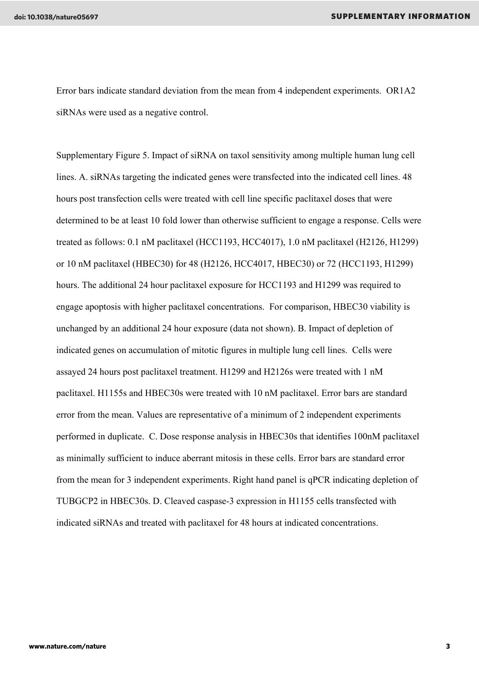Error bars indicate standard deviation from the mean from 4 independent experiments. OR1A2 siRNAs were used as a negative control.

Supplementary Figure 5. Impact of siRNA on taxol sensitivity among multiple human lung cell lines. A. siRNAs targeting the indicated genes were transfected into the indicated cell lines. 48 hours post transfection cells were treated with cell line specific paclitaxel doses that were determined to be at least 10 fold lower than otherwise sufficient to engage a response. Cells were treated as follows: 0.1 nM paclitaxel (HCC1193, HCC4017), 1.0 nM paclitaxel (H2126, H1299) or 10 nM paclitaxel (HBEC30) for 48 (H2126, HCC4017, HBEC30) or 72 (HCC1193, H1299) hours. The additional 24 hour paclitaxel exposure for HCC1193 and H1299 was required to engage apoptosis with higher paclitaxel concentrations. For comparison, HBEC30 viability is unchanged by an additional 24 hour exposure (data not shown). B. Impact of depletion of indicated genes on accumulation of mitotic figures in multiple lung cell lines. Cells were assayed 24 hours post paclitaxel treatment. H1299 and H2126s were treated with 1 nM paclitaxel. H1155s and HBEC30s were treated with 10 nM paclitaxel. Error bars are standard error from the mean. Values are representative of a minimum of 2 independent experiments performed in duplicate. C. Dose response analysis in HBEC30s that identifies 100nM paclitaxel as minimally sufficient to induce aberrant mitosis in these cells. Error bars are standard error from the mean for 3 independent experiments. Right hand panel is qPCR indicating depletion of TUBGCP2 in HBEC30s. D. Cleaved caspase-3 expression in H1155 cells transfected with indicated siRNAs and treated with paclitaxel for 48 hours at indicated concentrations.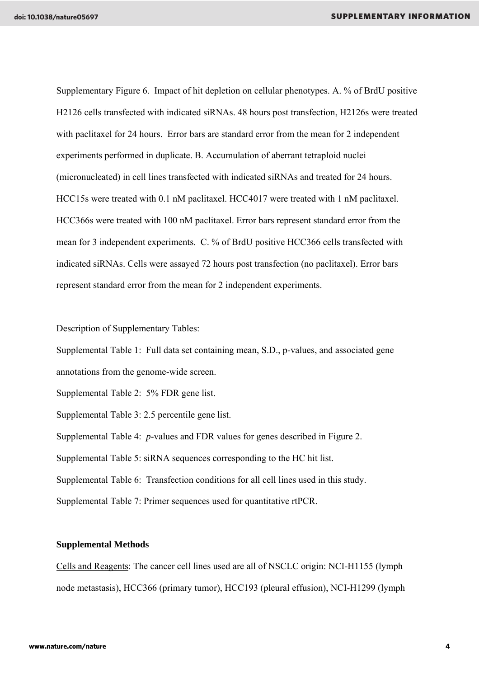Supplementary Figure 6. Impact of hit depletion on cellular phenotypes. A. % of BrdU positive H2126 cells transfected with indicated siRNAs. 48 hours post transfection, H2126s were treated with paclitaxel for 24 hours. Error bars are standard error from the mean for 2 independent experiments performed in duplicate. B. Accumulation of aberrant tetraploid nuclei (micronucleated) in cell lines transfected with indicated siRNAs and treated for 24 hours. HCC15s were treated with 0.1 nM paclitaxel. HCC4017 were treated with 1 nM paclitaxel. HCC366s were treated with 100 nM paclitaxel. Error bars represent standard error from the mean for 3 independent experiments. C. % of BrdU positive HCC366 cells transfected with indicated siRNAs. Cells were assayed 72 hours post transfection (no paclitaxel). Error bars represent standard error from the mean for 2 independent experiments.

Description of Supplementary Tables:

Supplemental Table 1: Full data set containing mean, S.D., p-values, and associated gene annotations from the genome-wide screen.

Supplemental Table 2: 5% FDR gene list.

Supplemental Table 3: 2.5 percentile gene list.

Supplemental Table 4: *p*-values and FDR values for genes described in Figure 2.

Supplemental Table 5: siRNA sequences corresponding to the HC hit list.

Supplemental Table 6: Transfection conditions for all cell lines used in this study.

Supplemental Table 7: Primer sequences used for quantitative rtPCR.

#### **Supplemental Methods**

Cells and Reagents: The cancer cell lines used are all of NSCLC origin: NCI-H1155 (lymph node metastasis), HCC366 (primary tumor), HCC193 (pleural effusion), NCI-H1299 (lymph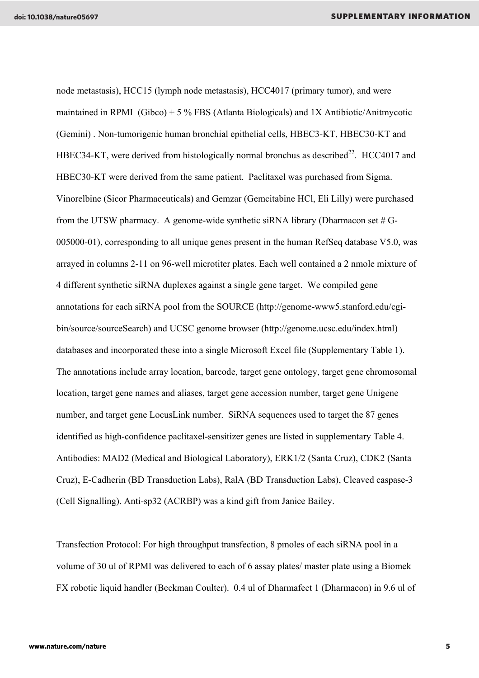node metastasis), HCC15 (lymph node metastasis), HCC4017 (primary tumor), and were maintained in RPMI (Gibco) + 5 % FBS (Atlanta Biologicals) and 1X Antibiotic/Anitmycotic (Gemini) . Non-tumorigenic human bronchial epithelial cells, HBEC3-KT, HBEC30-KT and HBEC34-KT, were derived from histologically normal bronchus as described<sup>22</sup>. HCC4017 and HBEC30-KT were derived from the same patient. Paclitaxel was purchased from Sigma. Vinorelbine (Sicor Pharmaceuticals) and Gemzar (Gemcitabine HCl, Eli Lilly) were purchased from the UTSW pharmacy. A genome-wide synthetic siRNA library (Dharmacon set  $#G$ -005000-01), corresponding to all unique genes present in the human RefSeq database V5.0, was arrayed in columns 2-11 on 96-well microtiter plates. Each well contained a 2 nmole mixture of 4 different synthetic siRNA duplexes against a single gene target. We compiled gene annotations for each siRNA pool from the SOURCE (http://genome-www5.stanford.edu/cgibin/source/sourceSearch) and UCSC genome browser (http://genome.ucsc.edu/index.html) databases and incorporated these into a single Microsoft Excel file (Supplementary Table 1). The annotations include array location, barcode, target gene ontology, target gene chromosomal location, target gene names and aliases, target gene accession number, target gene Unigene number, and target gene LocusLink number. SiRNA sequences used to target the 87 genes identified as high-confidence paclitaxel-sensitizer genes are listed in supplementary Table 4. Antibodies: MAD2 (Medical and Biological Laboratory), ERK1/2 (Santa Cruz), CDK2 (Santa Cruz), E-Cadherin (BD Transduction Labs), RalA (BD Transduction Labs), Cleaved caspase-3 (Cell Signalling). Anti-sp32 (ACRBP) was a kind gift from Janice Bailey.

Transfection Protocol: For high throughput transfection, 8 pmoles of each siRNA pool in a volume of 30 ul of RPMI was delivered to each of 6 assay plates/ master plate using a Biomek FX robotic liquid handler (Beckman Coulter). 0.4 ul of Dharmafect 1 (Dharmacon) in 9.6 ul of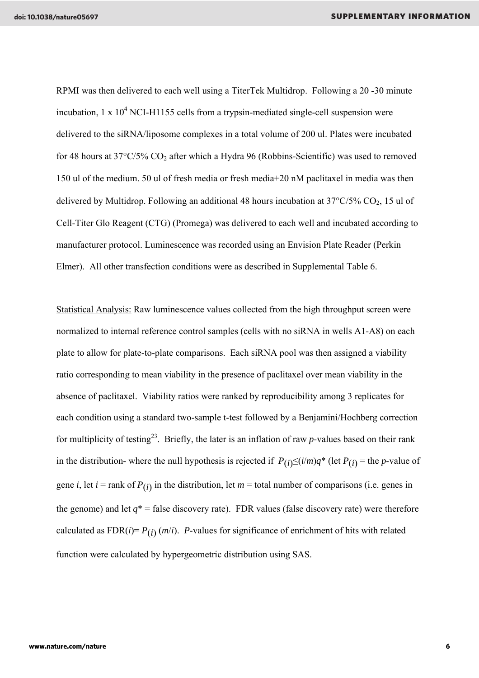RPMI was then delivered to each well using a TiterTek Multidrop. Following a 20 -30 minute incubation,  $1 \times 10^4$  NCI-H1155 cells from a trypsin-mediated single-cell suspension were delivered to the siRNA/liposome complexes in a total volume of 200 ul. Plates were incubated for 48 hours at 37°C/5% CO<sub>2</sub> after which a Hydra 96 (Robbins-Scientific) was used to removed 150 ul of the medium. 50 ul of fresh media or fresh media+20 nM paclitaxel in media was then delivered by Multidrop. Following an additional 48 hours incubation at  $37^{\circ}C/5\%$  CO<sub>2</sub>, 15 ul of Cell-Titer Glo Reagent (CTG) (Promega) was delivered to each well and incubated according to manufacturer protocol. Luminescence was recorded using an Envision Plate Reader (Perkin Elmer). All other transfection conditions were as described in Supplemental Table 6.

Statistical Analysis: Raw luminescence values collected from the high throughput screen were normalized to internal reference control samples (cells with no siRNA in wells A1-A8) on each plate to allow for plate-to-plate comparisons. Each siRNA pool was then assigned a viability ratio corresponding to mean viability in the presence of paclitaxel over mean viability in the absence of paclitaxel. Viability ratios were ranked by reproducibility among 3 replicates for each condition using a standard two-sample t-test followed by a Benjamini/Hochberg correction for multiplicity of testing23. Briefly, the later is an inflation of raw *p*-values based on their rank in the distribution- where the null hypothesis is rejected if  $P(i) \leq (i/m)q^*$  (let  $P(i)$  = the *p*-value of gene *i*, let *i* = rank of  $P(i)$  in the distribution, let  $m =$  total number of comparisons (i.e. genes in the genome) and let  $q^*$  = false discovery rate). FDR values (false discovery rate) were therefore calculated as  $FDR(i) = P(i)$  (*m*/*i*). *P*-values for significance of enrichment of hits with related function were calculated by hypergeometric distribution using SAS.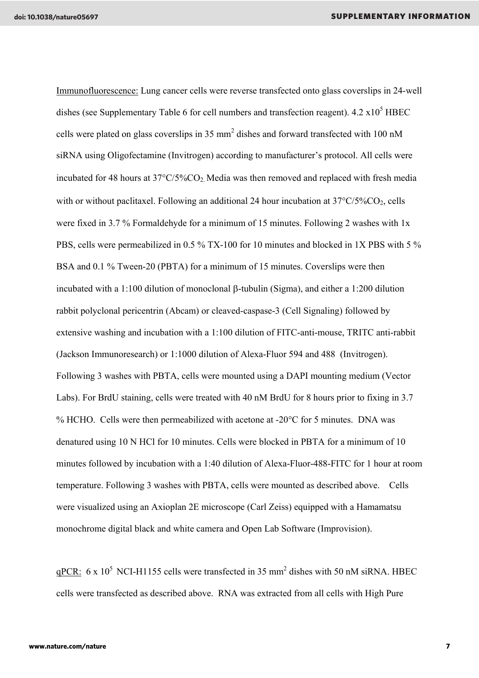Immunofluorescence: Lung cancer cells were reverse transfected onto glass coverslips in 24-well dishes (see Supplementary Table 6 for cell numbers and transfection reagent).  $4.2 \times 10^5$  HBEC cells were plated on glass coverslips in 35 mm<sup>2</sup> dishes and forward transfected with 100 nM siRNA using Oligofectamine (Invitrogen) according to manufacturer's protocol. All cells were incubated for 48 hours at 37°C/5%CO2. Media was then removed and replaced with fresh media with or without paclitaxel. Following an additional 24 hour incubation at  $37^{\circ}C/5\%CO_2$ , cells were fixed in 3.7 % Formaldehyde for a minimum of 15 minutes. Following 2 washes with 1x PBS, cells were permeabilized in 0.5 % TX-100 for 10 minutes and blocked in 1X PBS with 5 % BSA and 0.1 % Tween-20 (PBTA) for a minimum of 15 minutes. Coverslips were then incubated with a 1:100 dilution of monoclonal β-tubulin (Sigma), and either a 1:200 dilution rabbit polyclonal pericentrin (Abcam) or cleaved-caspase-3 (Cell Signaling) followed by extensive washing and incubation with a 1:100 dilution of FITC-anti-mouse, TRITC anti-rabbit (Jackson Immunoresearch) or 1:1000 dilution of Alexa-Fluor 594 and 488 (Invitrogen). Following 3 washes with PBTA, cells were mounted using a DAPI mounting medium (Vector Labs). For BrdU staining, cells were treated with 40 nM BrdU for 8 hours prior to fixing in 3.7 % HCHO. Cells were then permeabilized with acetone at -20°C for 5 minutes. DNA was denatured using 10 N HCl for 10 minutes. Cells were blocked in PBTA for a minimum of 10 minutes followed by incubation with a 1:40 dilution of Alexa-Fluor-488-FITC for 1 hour at room temperature. Following 3 washes with PBTA, cells were mounted as described above. Cells were visualized using an Axioplan 2E microscope (Carl Zeiss) equipped with a Hamamatsu monochrome digital black and white camera and Open Lab Software (Improvision).

 $qPCR$ : 6 x 10<sup>5</sup> NCI-H1155 cells were transfected in 35 mm<sup>2</sup> dishes with 50 nM siRNA. HBEC cells were transfected as described above. RNA was extracted from all cells with High Pure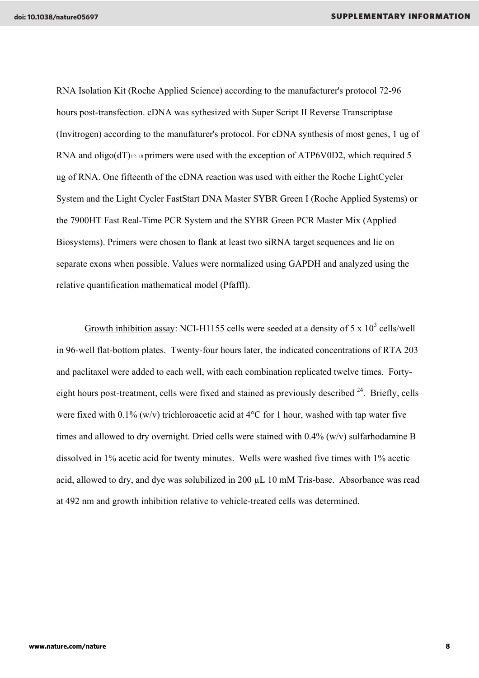RNA Isolation Kit (Roche Applied Science) according to the manufacturer's protocol 72-96 hours post-transfection. cDNA was sythesized with Super Script II Reverse Transcriptase (Invitrogen) according to the manufaturer's protocol. For cDNA synthesis of most genes, 1 ug of RNA and oligo(dT)<sub>12-18</sub> primers were used with the exception of ATP6V0D2, which required 5 ug of RNA. One fifteenth of the cDNA reaction was used with either the Roche LightCycler System and the Light Cycler FastStart DNA Master SYBR Green I (Roche Applied Systems) or the 7900HT Fast Real-Time PCR System and the SYBR Green PCR Master Mix (Applied Biosystems). Primers were chosen to flank at least two siRNA target sequences and lie on separate exons when possible. Values were normalized using GAPDH and analyzed using the relative quantification mathematical model (Pfaffl).

Growth inhibition assay: NCI-H1155 cells were seeded at a density of 5 x  $10^3$  cells/well in 96-well flat-bottom plates. Twenty-four hours later, the indicated concentrations of RTA 203 and paclitaxel were added to each well, with each combination replicated twelve times. Fortyeight hours post-treatment, cells were fixed and stained as previously described  $24$ . Briefly, cells were fixed with  $0.1\%$  (w/v) trichloroacetic acid at 4<sup>o</sup>C for 1 hour, washed with tap water five times and allowed to dry overnight. Dried cells were stained with 0.4% (w/v) sulfarhodamine B dissolved in 1% acetic acid for twenty minutes. Wells were washed five times with 1% acetic acid, allowed to dry, and dye was solubilized in 200 µL 10 mM Tris-base. Absorbance was read at 492 nm and growth inhibition relative to vehicle-treated cells was determined.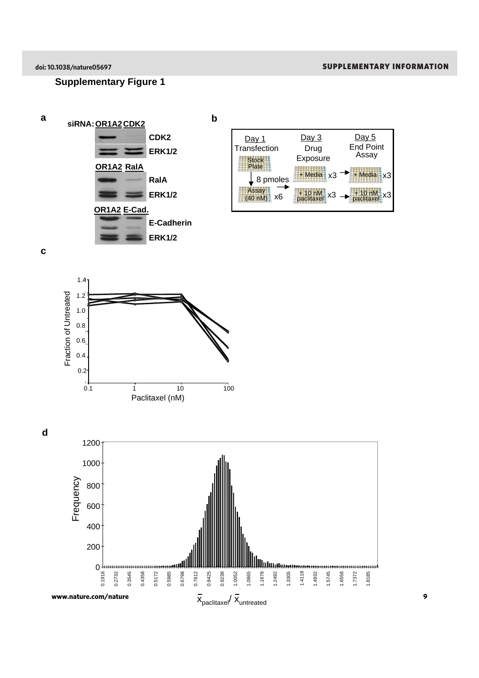#### **Supplementary Figure 1**



**c**



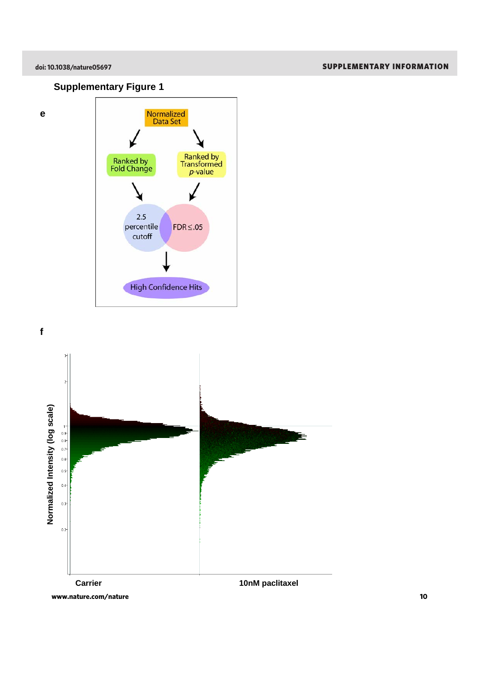**e**

### **Supplementary Figure 1**





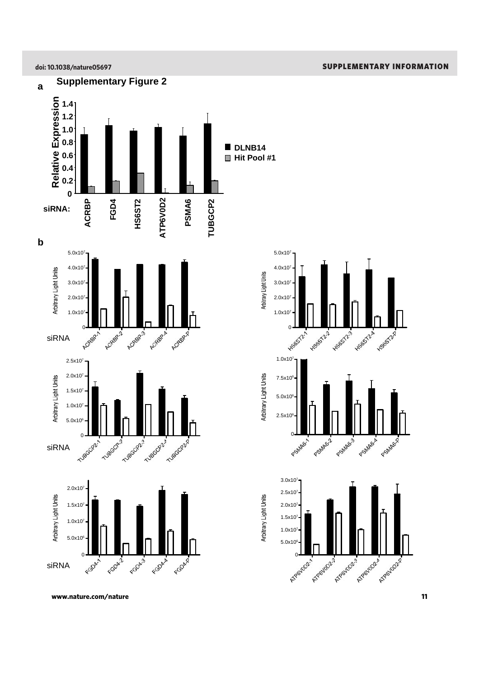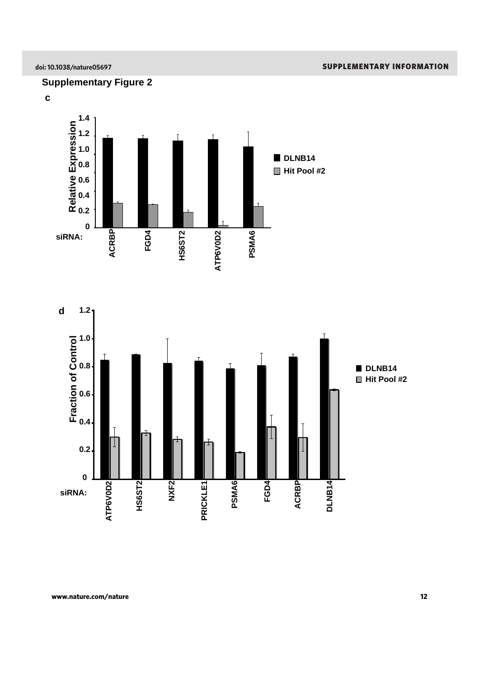#### **Supplementary Figure 2**



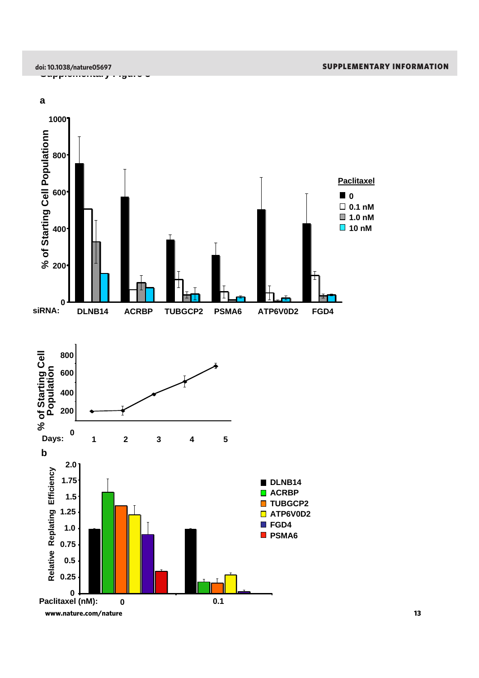

**0**



**siRNA: DLNB14 ACRBP TUBGCP2 PSMA6 ATP6V0D2 FGD4**

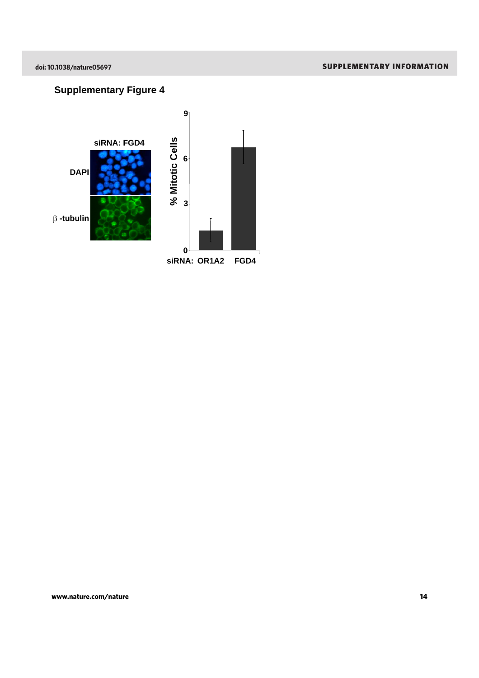### **Supplementary Figure 4**

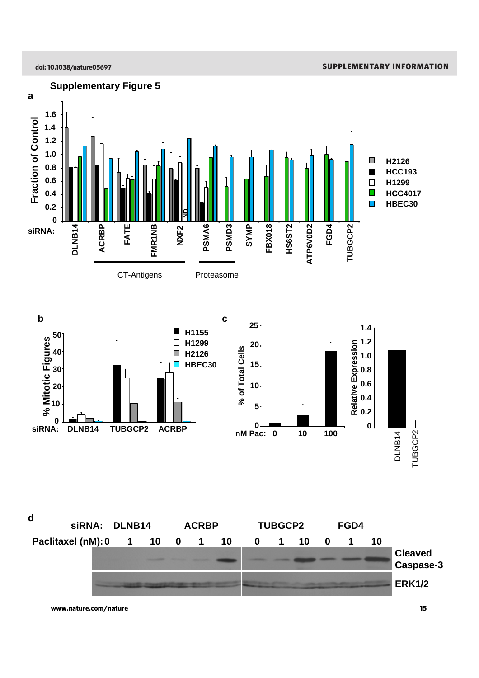